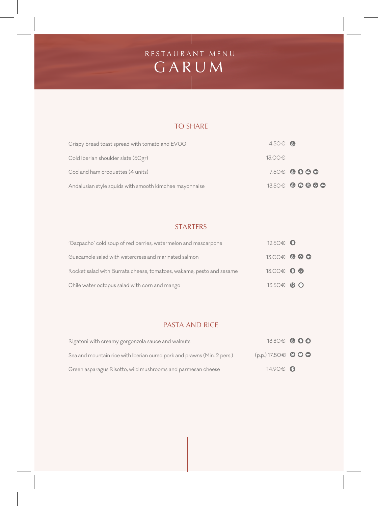# G A R U M R E S T A U R A N T M E N U

## TO SHARE

| Crispy bread toast spread with tomato and EVOO         | $4.50\epsilon$ |                       |
|--------------------------------------------------------|----------------|-----------------------|
| Cold Iberian shoulder slate (50gr)                     | 13.00€         |                       |
| Cod and ham croquettes (4 units)                       |                | $7.50 \oplus 0 0 0 0$ |
| Andalusian style squids with smooth kimchee mayonnaise |                | $13.50\oplus$ 0 0 0 0 |

### **STARTERS**

| 'Gazpacho' cold soup of red berries, watermelon and mascarpone       | 12.50€ 0     |  |
|----------------------------------------------------------------------|--------------|--|
| Guacamole salad with watercress and marinated salmon                 | 13.00€ ● ● ● |  |
| Rocket salad with Burrata cheese, tomatoes, wakame, pesto and sesame | 13.00€ 0 @   |  |
| Chile water octopus salad with corn and mango                        | 13.50€ 8 ◎   |  |

### PASTA AND RICE

| Rigatoni with creamy gorgonzola sauce and walnuts                       |                            | 13.80€ © 0 <b>0</b> |
|-------------------------------------------------------------------------|----------------------------|---------------------|
| Sea and mountain rice with Iberian cured pork and prawns (Min. 2 pers.) | $(p.p.)$ 17.50 $\in$ 0 0 0 |                     |
| Green asparagus Risotto, wild mushrooms and parmesan cheese             | 14.90€ 0                   |                     |